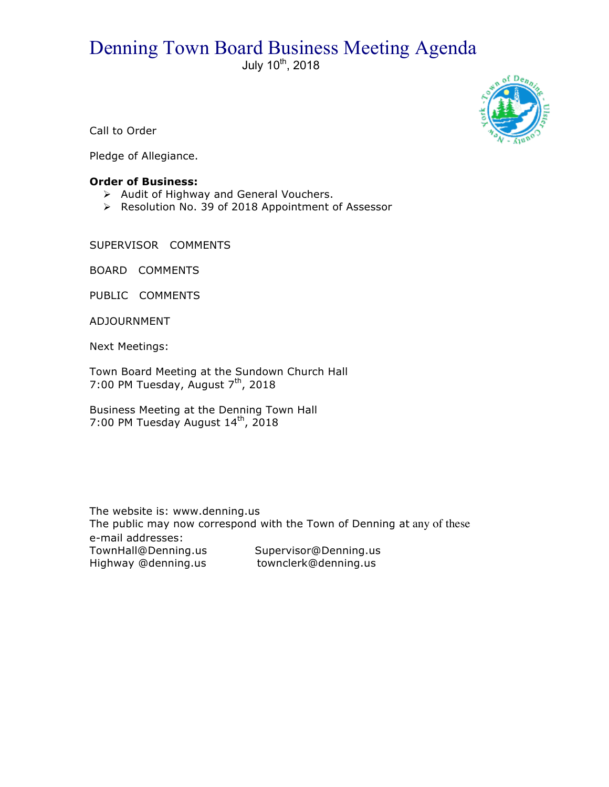## Denning Town Board Business Meeting Agenda

July  $10^{th}$ , 2018



Call to Order

Pledge of Allegiance.

## **Order of Business:**

- > Audit of Highway and General Vouchers.
- ▶ Resolution No. 39 of 2018 Appointment of Assessor

SUPERVISOR COMMENTS

BOARD COMMENTS

PUBLIC COMMENTS

ADJOURNMENT

Next Meetings:

Town Board Meeting at the Sundown Church Hall 7:00 PM Tuesday, August  $7<sup>th</sup>$ , 2018

Business Meeting at the Denning Town Hall 7:00 PM Tuesday August 14<sup>th</sup>, 2018

The website is: www.denning.us The public may now correspond with the Town of Denning at any of these e-mail addresses: TownHall@Denning.us Supervisor@Denning.us Highway @denning.us townclerk@denning.us